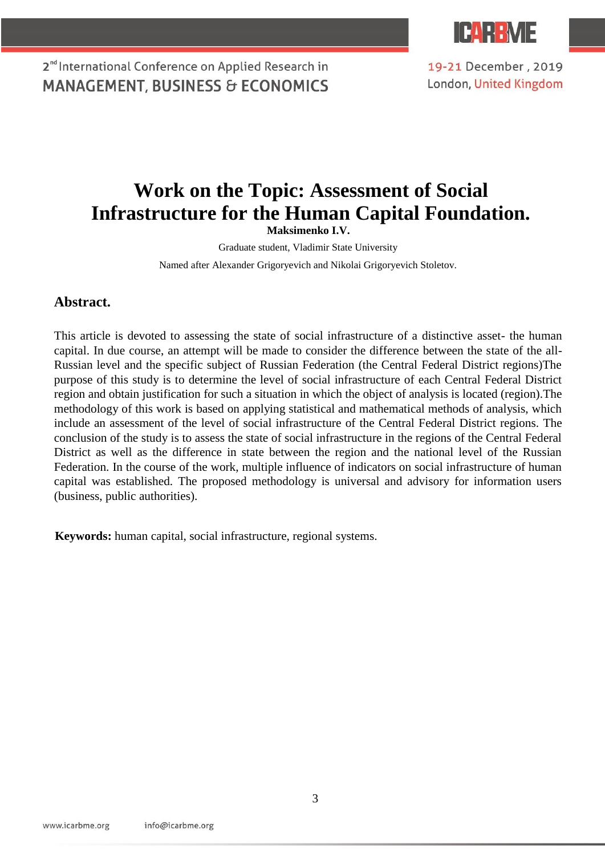

19-21 December, 2019 London, United Kingdom

# **Work on the Topic: Assessment of Social Infrastructure for the Human Capital Foundation.**

**Maksimenko I.V.** 

Graduate student, Vladimir State University

Named after Alexander Grigoryevich and Nikolai Grigoryevich Stoletov.

#### **Abstract.**

This article is devoted to assessing the state of social infrastructure of a distinctive asset- the human capital. In due course, an attempt will be made to consider the difference between the state of the all-Russian level and the specific subject of Russian Federation (the Central Federal District regions)The purpose of this study is to determine the level of social infrastructure of each Central Federal District region and obtain justification for such a situation in which the object of analysis is located (region).The methodology of this work is based on applying statistical and mathematical methods of analysis, which include an assessment of the level of social infrastructure of the Central Federal District regions. The conclusion of the study is to assess the state of social infrastructure in the regions of the Central Federal District as well as the difference in state between the region and the national level of the Russian Federation. In the course of the work, multiple influence of indicators on social infrastructure of human capital was established. The proposed methodology is universal and advisory for information users (business, public authorities).

**Keywords:** human capital, social infrastructure, regional systems.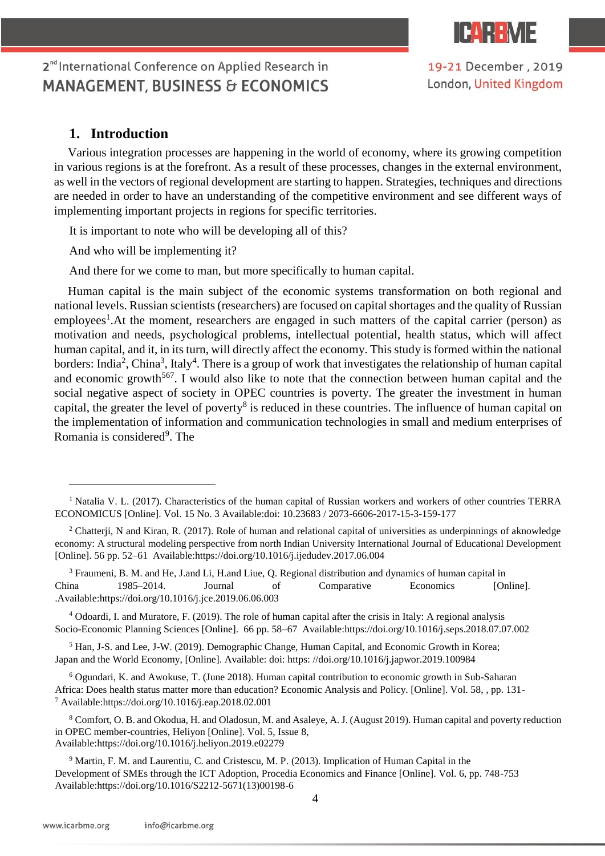

19-21 December, 2019 London, United Kingdom

### **1. Introduction**

 $\overline{a}$ 

Various integration processes are happening in the world of economy, where its growing competition in various regions is at the forefront. As a result of these processes, changes in the external environment, as well in the vectors of regional development are starting to happen. Strategies, techniques and directions are needed in order to have an understanding of the competitive environment and see different ways of implementing important projects in regions for specific territories.

It is important to note who will be developing all of this?

And who will be implementing it?

And there for we come to man, but more specifically to human capital.

Human capital is the main subject of the economic systems transformation on both regional and national levels. Russian scientists (researchers) are focused on capital shortages and the quality of Russian employees<sup>1</sup>. At the moment, researchers are engaged in such matters of the capital carrier (person) as motivation and needs, psychological problems, intellectual potential, health status, which will affect human capital, and it, in its turn, will directly affect the economy. This study is formed within the national borders: India<sup>2</sup>, China<sup>3</sup>, Italy<sup>4</sup>. There is a group of work that investigates the relationship of human capital and economic growth<sup>567</sup>. I would also like to note that the connection between human capital and the social negative aspect of society in OPEC countries is poverty. The greater the investment in human capital, the greater the level of poverty<sup>8</sup> is reduced in these countries. The influence of human capital on the implementation of information and communication technologies in small and medium enterprises of Romania is considered<sup>9</sup>. The

<sup>4</sup> Odoardi, I. and Muratore, F. (2019). The role of human capital after the crisis in Italy: A regional analysis Socio-Economic Planning Sciences [Online]. 66 pp. 58–67 Available:https://doi.org/10.1016/j.seps.2018.07.07.002

<sup>5</sup> Han, J-S. and Lee, J-W. (2019). Demographic Change, Human Capital, and Economic Growth in Korea; Japan and the World Economy, [Online]. Available: doi: https: //doi.org/10.1016/j.japwor.2019.100984

<sup>6</sup> Ogundari, K. and Awokuse, T. (June 2018). Human capital contribution to economic growth in Sub-Saharan Africa: Does health status matter more than education? Economic Analysis and Policy. [Online]. Vol. 58, , pp. 131- <sup>7</sup> Available:https://doi.org/10.1016/j.eap.2018.02.001

<sup>8</sup> Comfort, O. B. and Okodua, H. and Oladosun, M. and Asaleye, A. J. (August 2019). Human capital and poverty reduction in OPEC member-countries, Heliyon [Online]. Vol. 5, Issue 8, Available:https://doi.org/10.1016/j.heliyon.2019.e02279

<sup>9</sup> Martin, F. M. and Laurentiu, C. and Cristescu, M. P. (2013). Implication of Human Capital in the Development of SMEs through the ICT Adoption, Procedia Economics and Finance [Online]. Vol. 6, pp. 748-753 Available:https://doi.org/10.1016/S2212-5671(13)00198-6

<sup>&</sup>lt;sup>1</sup> Natalia V. L. (2017). Characteristics of the human capital of Russian workers and workers of other countries TERRA ECONOMICUS [Online]. Vol. 15 No. 3 Available:doi: 10.23683 / 2073-6606-2017-15-3-159-177

<sup>&</sup>lt;sup>2</sup> Chatterii, N and Kiran, R. (2017). Role of human and relational capital of universities as underpinnings of aknowledge economy: A structural modeling perspective from north Indian University International Journal of Educational Development [Online]. 56 pp. 52–61 Available:https://doi.org/10.1016/j.ijedudev.2017.06.004

<sup>3</sup> Fraumeni, B. M. and He, J.and Li, H.and Liue, Q. Regional distribution and dynamics of human capital in China 1985–2014. Journal of Comparative Economics [Online]. .Available:https://doi.org/10.1016/j.jce.2019.06.06.003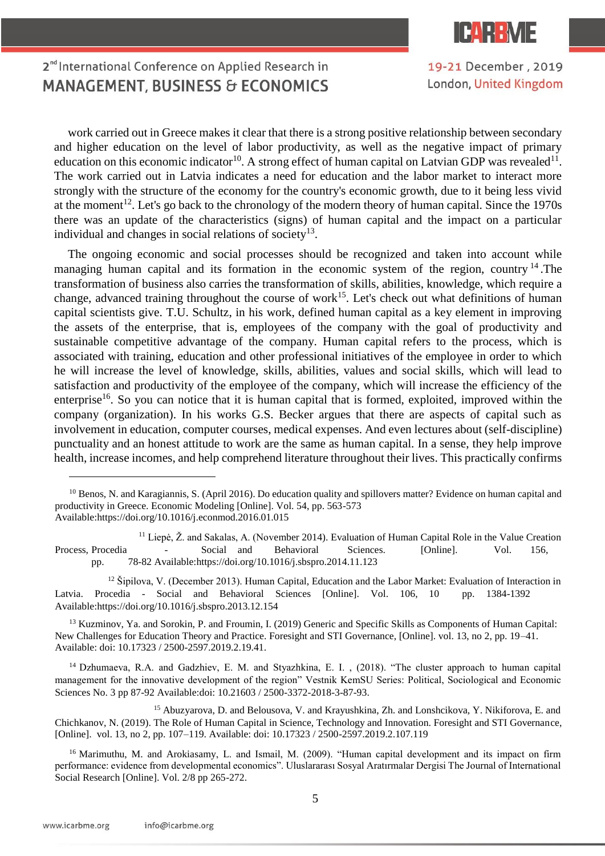

19-21 December, 2019 London, United Kingdom

## 2<sup>nd</sup> International Conference on Applied Research in **MANAGEMENT, BUSINESS & ECONOMICS**

work carried out in Greece makes it clear that there is a strong positive relationship between secondary and higher education on the level of labor productivity, as well as the negative impact of primary education on this economic indicator<sup>10</sup>. A strong effect of human capital on Latvian GDP was revealed<sup>11</sup>. The work carried out in Latvia indicates a need for education and the labor market to interact more strongly with the structure of the economy for the country's economic growth, due to it being less vivid at the moment<sup>12</sup>. Let's go back to the chronology of the modern theory of human capital. Since the 1970s there was an update of the characteristics (signs) of human capital and the impact on a particular individual and changes in social relations of society $13$ .

The ongoing economic and social processes should be recognized and taken into account while managing human capital and its formation in the economic system of the region, country <sup>14</sup>. The transformation of business also carries the transformation of skills, abilities, knowledge, which require a change, advanced training throughout the course of work<sup>15</sup>. Let's check out what definitions of human capital scientists give. T.U. Schultz, in his work, defined human capital as a key element in improving the assets of the enterprise, that is, employees of the company with the goal of productivity and sustainable competitive advantage of the company. Human capital refers to the process, which is associated with training, education and other professional initiatives of the employee in order to which he will increase the level of knowledge, skills, abilities, values and social skills, which will lead to satisfaction and productivity of the employee of the company, which will increase the efficiency of the enterprise<sup>16</sup>. So you can notice that it is human capital that is formed, exploited, improved within the company (organization). In his works G.S. Becker argues that there are aspects of capital such as involvement in education, computer courses, medical expenses. And even lectures about (self-discipline) punctuality and an honest attitude to work are the same as human capital. In a sense, they help improve health, increase incomes, and help comprehend literature throughout their lives. This practically confirms

 $11$  Liepė,  $\check{Z}$ . and Sakalas, A. (November 2014). Evaluation of Human Capital Role in the Value Creation Process, Procedia - Social and Behavioral Sciences. [Online]. Vol. 156, pp. 78-82 Available:https://doi.org/10.1016/j.sbspro.2014.11.123

<sup>12</sup> Šipilova, V. (December 2013). Human Capital, Education and the Labor Market: Evaluation of Interaction in Latvia. Procedia - Social and Behavioral Sciences [Online]. Vol. 106, 10 pp. 1384-1392 Available:https://doi.org/10.1016/j.sbspro.2013.12.154

<sup>13</sup> Kuzminov, Ya. and Sorokin, P. and Froumin, I. (2019) Generic and Specific Skills as Components of Human Capital: New Challenges for Education Theory and Practice. Foresight and STI Governance, [Online]. vol. 13, no 2, pp. 19–41. Available: doi: 10.17323 / 2500-2597.2019.2.19.41.

<sup>14</sup> Dzhumaeva, R.A. and Gadzhiev, E. M. and Styazhkina, E. I., (2018). "The cluster approach to human capital management for the innovative development of the region" Vestnik KemSU Series: Political, Sociological and Economic Sciences No. 3 pp 87-92 Available:doi: 10.21603 / 2500-3372-2018-3-87-93.

<sup>15</sup> Abuzyarova, D. and Belousova, V. and Krayushkina, Zh. and Lonshcikova, Y. Nikiforova, E. and Chichkanov, N. (2019). The Role of Human Capital in Science, Technology and Innovation. Foresight and STI Governance, [Online]. vol. 13, no 2, pp. 107–119. Available: doi: 10.17323 / 2500-2597.2019.2.107.119

<sup>16</sup> Marimuthu, M. and Arokiasamy, L. and Ismail, M. (2009). "Human capital development and its impact on firm performance: evidence from developmental economics". Uluslararası Sosyal Aratırmalar Dergisi The Journal of International Social Research [Online]. Vol. 2/8 pp 265-272.

 $\overline{a}$ 

<sup>&</sup>lt;sup>10</sup> Benos, N. and Karagiannis, S. (April 2016). Do education quality and spillovers matter? Evidence on human capital and productivity in Greece. Economic Modeling [Online]. Vol. 54, pp. 563-573 Available:https://doi.org/10.1016/j.econmod.2016.01.015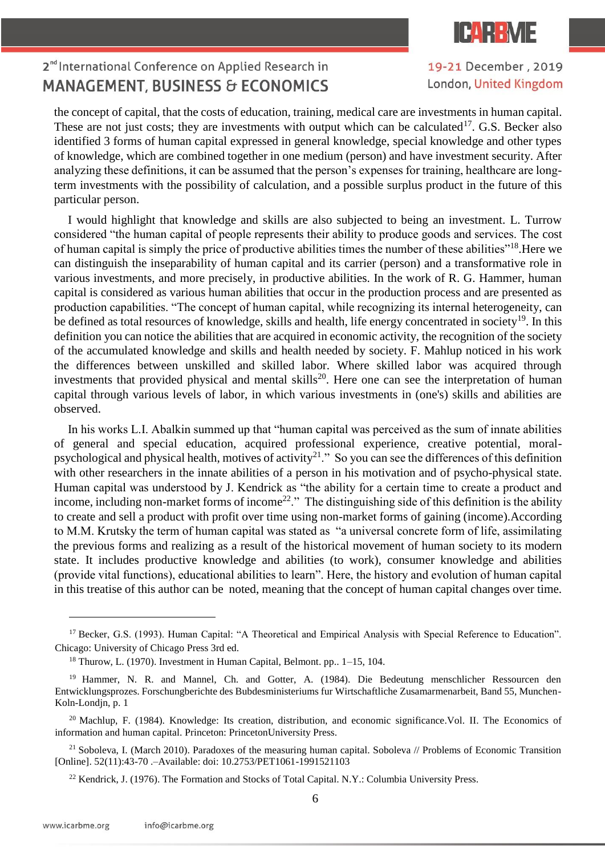

19-21 December, 2019 London, United Kingdom

the concept of capital, that the costs of education, training, medical care are investments in human capital. These are not just costs; they are investments with output which can be calculated<sup>17</sup>. G.S. Becker also identified 3 forms of human capital expressed in general knowledge, special knowledge and other types of knowledge, which are combined together in one medium (person) and have investment security. After analyzing these definitions, it can be assumed that the person's expenses for training, healthcare are longterm investments with the possibility of calculation, and a possible surplus product in the future of this particular person.

I would highlight that knowledge and skills are also subjected to being an investment. L. Turrow considered "the human capital of people represents their ability to produce goods and services. The cost of human capital is simply the price of productive abilities times the number of these abilities"<sup>18</sup>.Here we can distinguish the inseparability of human capital and its carrier (person) and a transformative role in various investments, and more precisely, in productive abilities. In the work of R. G. Hammer, human capital is considered as various human abilities that occur in the production process and are presented as production capabilities. "The concept of human capital, while recognizing its internal heterogeneity, can be defined as total resources of knowledge, skills and health, life energy concentrated in society<sup>19</sup>. In this definition you can notice the abilities that are acquired in economic activity, the recognition of the society of the accumulated knowledge and skills and health needed by society. F. Mahlup noticed in his work the differences between unskilled and skilled labor. Where skilled labor was acquired through investments that provided physical and mental skills<sup>20</sup>. Here one can see the interpretation of human capital through various levels of labor, in which various investments in (one's) skills and abilities are observed.

In his works L.I. Abalkin summed up that "human capital was perceived as the sum of innate abilities of general and special education, acquired professional experience, creative potential, moralpsychological and physical health, motives of activity<sup>21</sup>." So you can see the differences of this definition with other researchers in the innate abilities of a person in his motivation and of psycho-physical state. Human capital was understood by J. Kendrick as "the ability for a certain time to create a product and income, including non-market forms of income<sup>22</sup>." The distinguishing side of this definition is the ability to create and sell a product with profit over time using non-market forms of gaining (income).According to M.M. Krutsky the term of human capital was stated as "a universal concrete form of life, assimilating the previous forms and realizing as a result of the historical movement of human society to its modern state. It includes productive knowledge and abilities (to work), consumer knowledge and abilities (provide vital functions), educational abilities to learn". Here, the history and evolution of human capital in this treatise of this author can be noted, meaning that the concept of human capital changes over time.

 $\overline{a}$ 

<sup>&</sup>lt;sup>17</sup> Becker, G.S. (1993). Human Capital: "A Theoretical and Empirical Analysis with Special Reference to Education". Chicago: University of Chicago Press 3rd ed.

<sup>18</sup> Thurow, L. (1970). Investment in Human Capital, Belmont. pp.. 1–15, 104.

<sup>&</sup>lt;sup>19</sup> Hammer, N. R. and Mannel, Ch. and Gotter, A. (1984). Die Bedeutung menschlicher Ressourcen den Entwicklungsprozes. Forschungberichte des Bubdesministeriums fur Wirtschaftliche Zusamarmenarbeit, Band 55, Munchen-Koln-Londjn, p. 1

<sup>&</sup>lt;sup>20</sup> Machlup, F. (1984). Knowledge: Its creation, distribution, and economic significance.Vol. II. The Economics of information and human capital. Princeton: PrincetonUniversity Press.

 $21$  Soboleva, I. (March 2010). Paradoxes of the measuring human capital. Soboleva // Problems of Economic Transition [Online]. 52(11):43-70 .–Available: doi: 10.2753/PET1061-1991521103

<sup>&</sup>lt;sup>22</sup> Kendrick, J. (1976). The Formation and Stocks of Total Capital. N.Y.: Columbia University Press.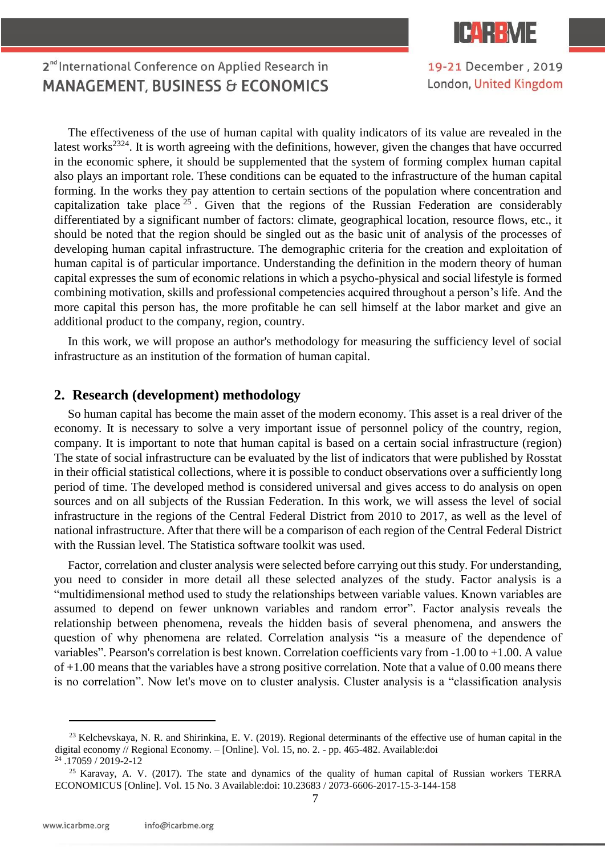

19-21 December, 2019 London, United Kingdom

### 2<sup>nd</sup> International Conference on Applied Research in **MANAGEMENT, BUSINESS & ECONOMICS**

The effectiveness of the use of human capital with quality indicators of its value are revealed in the latest works<sup>2324</sup>. It is worth agreeing with the definitions, however, given the changes that have occurred in the economic sphere, it should be supplemented that the system of forming complex human capital also plays an important role. These conditions can be equated to the infrastructure of the human capital forming. In the works they pay attention to certain sections of the population where concentration and capitalization take place  $25$ . Given that the regions of the Russian Federation are considerably differentiated by a significant number of factors: climate, geographical location, resource flows, etc., it should be noted that the region should be singled out as the basic unit of analysis of the processes of developing human capital infrastructure. The demographic criteria for the creation and exploitation of human capital is of particular importance. Understanding the definition in the modern theory of human capital expresses the sum of economic relations in which a psycho-physical and social lifestyle is formed combining motivation, skills and professional competencies acquired throughout a person's life. And the more capital this person has, the more profitable he can sell himself at the labor market and give an additional product to the company, region, country.

In this work, we will propose an author's methodology for measuring the sufficiency level of social infrastructure as an institution of the formation of human capital.

#### **2. Research (development) methodology**

So human capital has become the main asset of the modern economy. This asset is a real driver of the economy. It is necessary to solve a very important issue of personnel policy of the country, region, company. It is important to note that human capital is based on a certain social infrastructure (region) The state of social infrastructure can be evaluated by the list of indicators that were published by Rosstat in their official statistical collections, where it is possible to conduct observations over a sufficiently long period of time. The developed method is considered universal and gives access to do analysis on open sources and on all subjects of the Russian Federation. In this work, we will assess the level of social infrastructure in the regions of the Central Federal District from 2010 to 2017, as well as the level of national infrastructure. After that there will be a comparison of each region of the Central Federal District with the Russian level. The Statistica software toolkit was used.

Factor, correlation and cluster analysis were selected before carrying out this study. For understanding, you need to consider in more detail all these selected analyzes of the study. Factor analysis is a "multidimensional method used to study the relationships between variable values. Known variables are assumed to depend on fewer unknown variables and random error". Factor analysis reveals the relationship between phenomena, reveals the hidden basis of several phenomena, and answers the question of why phenomena are related. Correlation analysis "is a measure of the dependence of variables". Pearson's correlation is best known. Correlation coefficients vary from -1.00 to +1.00. A value of +1.00 means that the variables have a strong positive correlation. Note that a value of 0.00 means there is no correlation". Now let's move on to cluster analysis. Cluster analysis is a "classification analysis

 $\overline{a}$ 

 $23$  Kelchevskaya, N. R. and Shirinkina, E. V. (2019). Regional determinants of the effective use of human capital in the digital economy // Regional Economy. – [Online]. Vol. 15, no. 2. - pp. 465-482. Available:doi

<sup>24</sup> .17059 / 2019-2-12

<sup>&</sup>lt;sup>25</sup> Karavay, A. V. (2017). The state and dynamics of the quality of human capital of Russian workers TERRA ECONOMICUS [Online]. Vol. 15 No. 3 Available:doi: 10.23683 / 2073-6606-2017-15-3-144-158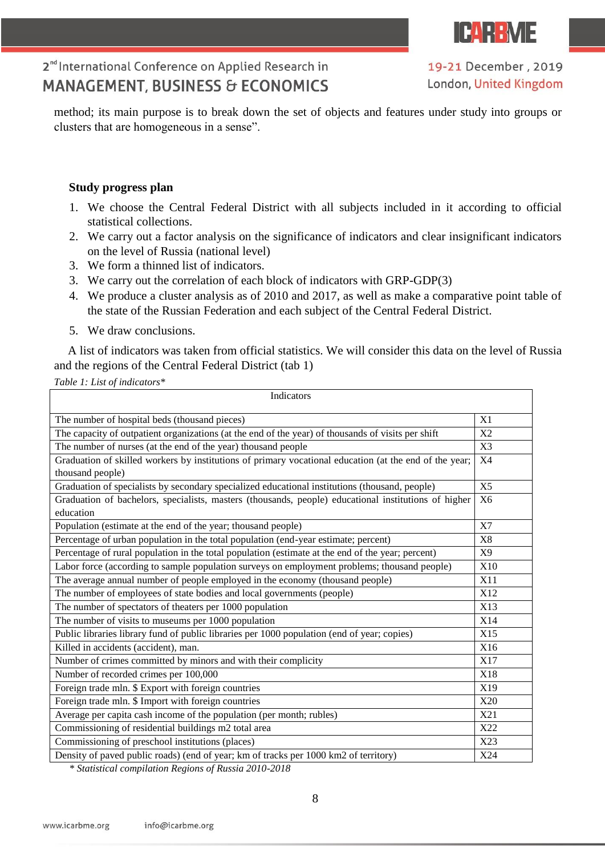

19-21 December, 2019 London, United Kingdom

method; its main purpose is to break down the set of objects and features under study into groups or clusters that are homogeneous in a sense".

#### **Study progress plan**

- 1. We choose the Central Federal District with all subjects included in it according to official statistical collections.
- 2. We carry out a factor analysis on the significance of indicators and clear insignificant indicators on the level of Russia (national level)
- 3. We form a thinned list of indicators.
- 3. We carry out the correlation of each block of indicators with GRP-GDP(3)
- 4. We produce a cluster analysis as of 2010 and 2017, as well as make a comparative point table of the state of the Russian Federation and each subject of the Central Federal District.
- 5. We draw conclusions.

A list of indicators was taken from official statistics. We will consider this data on the level of Russia and the regions of the Central Federal District (tab 1)

*Table 1: List of indicators\** 

| Indicators                                                                                             |                |
|--------------------------------------------------------------------------------------------------------|----------------|
| The number of hospital beds (thousand pieces)                                                          | X1             |
| The capacity of outpatient organizations (at the end of the year) of thousands of visits per shift     | X2             |
| The number of nurses (at the end of the year) thousand people                                          | X3             |
| Graduation of skilled workers by institutions of primary vocational education (at the end of the year; | X <sub>4</sub> |
| thousand people)                                                                                       |                |
| Graduation of specialists by secondary specialized educational institutions (thousand, people)         | X <sub>5</sub> |
| Graduation of bachelors, specialists, masters (thousands, people) educational institutions of higher   | X <sub>6</sub> |
| education                                                                                              |                |
| Population (estimate at the end of the year; thousand people)                                          | X7             |
| Percentage of urban population in the total population (end-year estimate; percent)                    | X8             |
| Percentage of rural population in the total population (estimate at the end of the year; percent)      | X9             |
| Labor force (according to sample population surveys on employment problems; thousand people)           | <b>X10</b>     |
| The average annual number of people employed in the economy (thousand people)                          | X11            |
| The number of employees of state bodies and local governments (people)                                 | X12            |
| The number of spectators of theaters per 1000 population                                               | X13            |
| The number of visits to museums per 1000 population                                                    | X14            |
| Public libraries library fund of public libraries per 1000 population (end of year; copies)            | X15            |
| Killed in accidents (accident), man.                                                                   | X16            |
| Number of crimes committed by minors and with their complicity                                         | X17            |
| Number of recorded crimes per 100,000                                                                  | X18            |
| Foreign trade mln. \$ Export with foreign countries                                                    | X19            |
| Foreign trade mln. \$ Import with foreign countries                                                    | X20            |
| Average per capita cash income of the population (per month; rubles)                                   | X21            |
| Commissioning of residential buildings m2 total area                                                   | X22            |
| Commissioning of preschool institutions (places)                                                       | X23            |
| Density of paved public roads) (end of year; km of tracks per 1000 km2 of territory)                   |                |

*\* Statistical compilation Regions of Russia 2010-2018*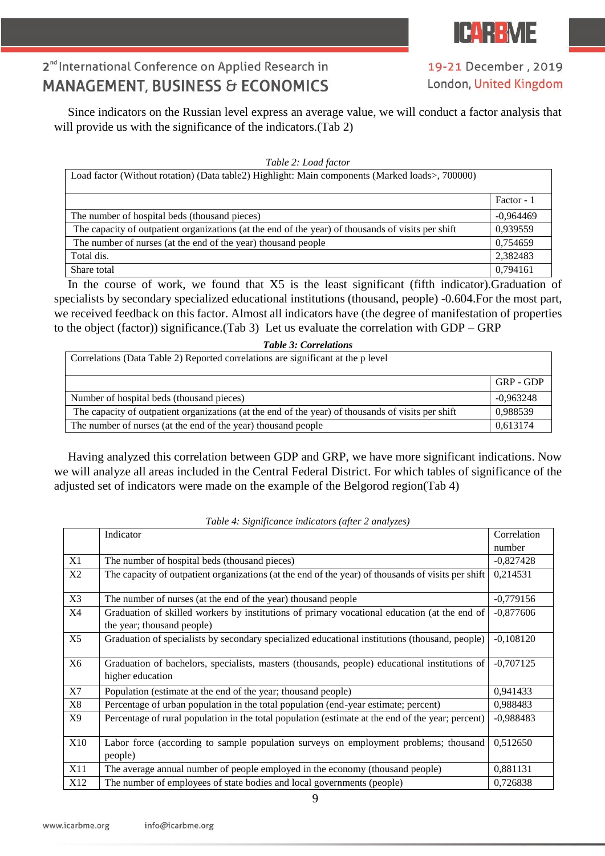

19-21 December, 2019 London, United Kingdom

Since indicators on the Russian level express an average value, we will conduct a factor analysis that will provide us with the significance of the indicators. (Tab 2)

#### *Table 2: Load factor*

| Load factor (Without rotation) (Data table2) Highlight: Main components (Marked loads>, 700000)    |             |
|----------------------------------------------------------------------------------------------------|-------------|
|                                                                                                    | Factor - 1  |
| The number of hospital beds (thousand pieces)                                                      | $-0.964469$ |
| The capacity of outpatient organizations (at the end of the year) of thousands of visits per shift | 0,939559    |
| The number of nurses (at the end of the year) thousand people                                      | 0,754659    |
| Total dis.                                                                                         | 2.382483    |
| Share total                                                                                        | 0,794161    |

In the course of work, we found that X5 is the least significant (fifth indicator).Graduation of specialists by secondary specialized educational institutions (thousand, people) -0.604.For the most part, we received feedback on this factor. Almost all indicators have (the degree of manifestation of properties to the object (factor)) significance.(Tab 3) Let us evaluate the correlation with GDP – GRP

|  | <b>Table 3: Correlations</b> |
|--|------------------------------|
|  |                              |

| Correlations (Data Table 2) Reported correlations are significant at the p level                   |             |
|----------------------------------------------------------------------------------------------------|-------------|
|                                                                                                    | GRP - GDP   |
| Number of hospital beds (thousand pieces)                                                          | $-0,963248$ |
| The capacity of outpatient organizations (at the end of the year) of thousands of visits per shift | 0,988539    |
| The number of nurses (at the end of the year) thousand people                                      | 0,613174    |

Having analyzed this correlation between GDP and GRP, we have more significant indications. Now we will analyze all areas included in the Central Federal District. For which tables of significance of the adjusted set of indicators were made on the example of the Belgorod region(Tab 4)

|     | Indicator                                                                                                                  | Correlation |
|-----|----------------------------------------------------------------------------------------------------------------------------|-------------|
|     |                                                                                                                            | number      |
| X1  | The number of hospital beds (thousand pieces)                                                                              | $-0,827428$ |
| X2  | The capacity of outpatient organizations (at the end of the year) of thousands of visits per shift                         | 0,214531    |
| X3  | The number of nurses (at the end of the year) thousand people                                                              | $-0,779156$ |
| X4  | Graduation of skilled workers by institutions of primary vocational education (at the end of<br>the year; thousand people) | $-0,877606$ |
| X5  | Graduation of specialists by secondary specialized educational institutions (thousand, people)                             | $-0,108120$ |
| X6  | Graduation of bachelors, specialists, masters (thousands, people) educational institutions of<br>higher education          | $-0,707125$ |
| X7  | Population (estimate at the end of the year; thousand people)                                                              | 0,941433    |
| X8  | Percentage of urban population in the total population (end-year estimate; percent)                                        | 0,988483    |
| X9  | Percentage of rural population in the total population (estimate at the end of the year; percent)                          | $-0,988483$ |
| X10 | Labor force (according to sample population surveys on employment problems; thousand<br>people)                            | 0,512650    |
| X11 | The average annual number of people employed in the economy (thousand people)                                              | 0,881131    |
| X12 | The number of employees of state bodies and local governments (people)                                                     | 0,726838    |

*Table 4: Significance indicators (after 2 analyzes)*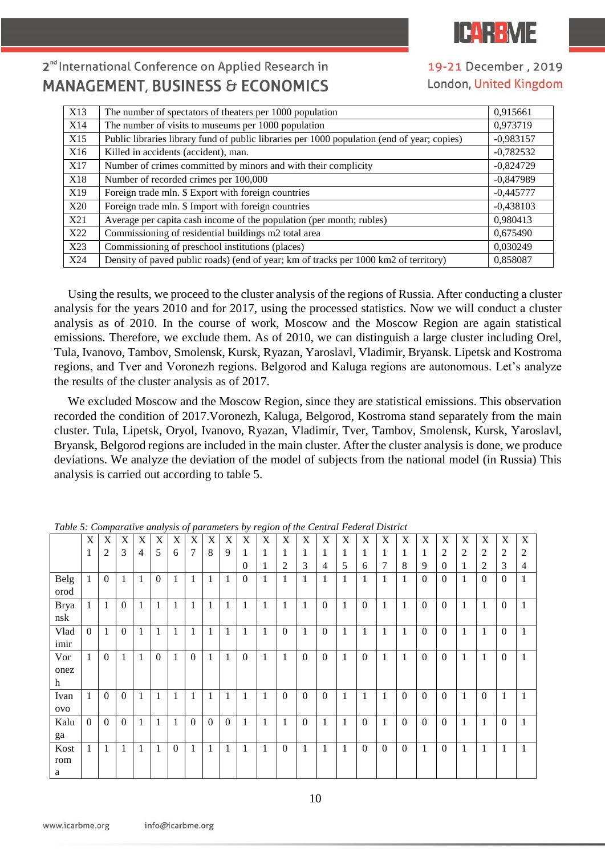

19-21 December, 2019 London, United Kingdom

| X13             | The number of spectators of theaters per 1000 population                                    | 0,915661    |
|-----------------|---------------------------------------------------------------------------------------------|-------------|
| X14             | The number of visits to museums per 1000 population                                         | 0,973719    |
| X15             | Public libraries library fund of public libraries per 1000 population (end of year; copies) | $-0,983157$ |
| X <sub>16</sub> | Killed in accidents (accident), man.                                                        | $-0,782532$ |
| X17             | Number of crimes committed by minors and with their complicity                              | $-0,824729$ |
| X18             | Number of recorded crimes per 100,000                                                       | $-0,847989$ |
| X19             | Foreign trade mln. \$ Export with foreign countries                                         | $-0,445777$ |
| X20             | Foreign trade mln. \$ Import with foreign countries                                         | $-0,438103$ |
| X21             | Average per capita cash income of the population (per month; rubles)                        | 0,980413    |
| X22             | Commissioning of residential buildings m2 total area                                        | 0,675490    |
| X23             | Commissioning of preschool institutions (places)                                            | 0,030249    |
| X24             | Density of paved public roads) (end of year; km of tracks per 1000 km2 of territory)        | 0,858087    |

Using the results, we proceed to the cluster analysis of the regions of Russia. After conducting a cluster analysis for the years 2010 and for 2017, using the processed statistics. Now we will conduct a cluster analysis as of 2010. In the course of work, Moscow and the Moscow Region are again statistical emissions. Therefore, we exclude them. As of 2010, we can distinguish a large cluster including Orel, Tula, Ivanovo, Tambov, Smolensk, Kursk, Ryazan, Yaroslavl, Vladimir, Bryansk. Lipetsk and Kostroma regions, and Tver and Voronezh regions. Belgorod and Kaluga regions are autonomous. Let's analyze the results of the cluster analysis as of 2017.

We excluded Moscow and the Moscow Region, since they are statistical emissions. This observation recorded the condition of 2017.Voronezh, Kaluga, Belgorod, Kostroma stand separately from the main cluster. Tula, Lipetsk, Oryol, Ivanovo, Ryazan, Vladimir, Tver, Tambov, Smolensk, Kursk, Yaroslavl, Bryansk, Belgorod regions are included in the main cluster. After the cluster analysis is done, we produce deviations. We analyze the deviation of the model of subjects from the national model (in Russia) This analysis is carried out according to table 5.

|             | X            | X                | X              | X            | X            | X            | $\boldsymbol{\mathrm{X}}$ | $\boldsymbol{\mathrm{X}}$ | X              | X                | X            | X                | X            | $\boldsymbol{\mathrm{X}}$ | X | X                | X            | X            | X                | X                | X              | X                | X                | X |
|-------------|--------------|------------------|----------------|--------------|--------------|--------------|---------------------------|---------------------------|----------------|------------------|--------------|------------------|--------------|---------------------------|---|------------------|--------------|--------------|------------------|------------------|----------------|------------------|------------------|---|
|             | $\mathbf{1}$ | $\overline{c}$   | 3              | 4            | 5            | 6            | $\overline{7}$            | 8                         | 9              |                  | 1            | 1                |              | 1                         | 1 | 1                | 1            | 1            | 1                | $\mathfrak{2}$   | $\overline{c}$ | 2                | 2                | 2 |
|             |              |                  |                |              |              |              |                           |                           |                | $\Omega$         |              | 2                | 3            | $\overline{4}$            | 5 | 6                | 7            | 8            | 9                | $\Omega$         |                | 2                | 3                | 4 |
| Belg        | $\mathbf{1}$ | $\boldsymbol{0}$ | 1              | $\mathbf{1}$ | $\mathbf{0}$ | $\mathbf{1}$ | 1                         | $\mathbf{1}$              | $\mathbf{1}$   | $\boldsymbol{0}$ | 1            | $\mathbf{1}$     | 1            | $\mathbf{1}$              | 1 | 1                | $\mathbf{1}$ | $\mathbf{1}$ | $\boldsymbol{0}$ | $\boldsymbol{0}$ | 1              | $\boldsymbol{0}$ | $\mathbf{0}$     |   |
| orod        |              |                  |                |              |              |              |                           |                           |                |                  |              |                  |              |                           |   |                  |              |              |                  |                  |                |                  |                  |   |
| <b>Brya</b> | $\mathbf{1}$ | 1                | $\overline{0}$ | 1            | 1            | $\mathbf{1}$ | 1                         | 1                         | $\mathbf{1}$   | 1                | $\mathbf{1}$ | $\mathbf{1}$     | 1            | $\mathbf{0}$              | 1 | $\mathbf{0}$     | 1            | 1            | $\overline{0}$   | $\overline{0}$   | 1              | $\mathbf{1}$     | $\boldsymbol{0}$ |   |
| nsk         |              |                  |                |              |              |              |                           |                           |                |                  |              |                  |              |                           |   |                  |              |              |                  |                  |                |                  |                  |   |
| Vlad        | $\Omega$     | 1                | $\theta$       | 1            | 1            | $\mathbf{1}$ | 1                         | 1                         | $\mathbf{1}$   | 1                | $\mathbf{1}$ | $\boldsymbol{0}$ | 1            | $\boldsymbol{0}$          | 1 | $\mathbf{1}$     | $\mathbf{1}$ | 1            | $\Omega$         | $\Omega$         | 1              | $\mathbf{1}$     | $\mathbf{0}$     | 1 |
| imir        |              |                  |                |              |              |              |                           |                           |                |                  |              |                  |              |                           |   |                  |              |              |                  |                  |                |                  |                  |   |
| Vor         | $\mathbf{1}$ | $\boldsymbol{0}$ | $\mathbf{1}$   | 1            | $\mathbf{0}$ | $\mathbf{1}$ | $\boldsymbol{0}$          | 1                         | $\mathbf{1}$   | $\boldsymbol{0}$ | 1            | $\mathbf{1}$     | $\mathbf{0}$ | $\boldsymbol{0}$          | 1 | $\boldsymbol{0}$ | $\mathbf{1}$ | $\mathbf{1}$ | $\overline{0}$   | $\mathbf{0}$     | 1              | $\mathbf{1}$     | $\boldsymbol{0}$ | 1 |
| onez        |              |                  |                |              |              |              |                           |                           |                |                  |              |                  |              |                           |   |                  |              |              |                  |                  |                |                  |                  |   |
| h           |              |                  |                |              |              |              |                           |                           |                |                  |              |                  |              |                           |   |                  |              |              |                  |                  |                |                  |                  |   |
| Ivan        | $\mathbf{1}$ | $\Omega$         | $\theta$       | 1            | 1            | $\mathbf{1}$ | 1                         | 1                         | 1              | 1                | 1            | $\boldsymbol{0}$ | $\mathbf{0}$ | $\boldsymbol{0}$          | 1 | $\mathbf{1}$     | $\mathbf{1}$ | $\mathbf{0}$ | $\overline{0}$   | $\Omega$         | 1              | $\mathbf{0}$     |                  | 1 |
| ovo         |              |                  |                |              |              |              |                           |                           |                |                  |              |                  |              |                           |   |                  |              |              |                  |                  |                |                  |                  |   |
| Kalu        | $\Omega$     | $\Omega$         | $\mathbf{0}$   | 1            | 1            | $\mathbf{1}$ | $\Omega$                  | $\boldsymbol{0}$          | $\overline{0}$ | 1                | $\mathbf{1}$ | $\mathbf{1}$     | $\mathbf{0}$ | $\mathbf{1}$              | 1 | $\boldsymbol{0}$ | $\mathbf{1}$ | $\mathbf{0}$ | $\mathbf{0}$     | $\overline{0}$   | 1              | $\mathbf{1}$     | $\boldsymbol{0}$ | 1 |
| ga          |              |                  |                |              |              |              |                           |                           |                |                  |              |                  |              |                           |   |                  |              |              |                  |                  |                |                  |                  |   |
| Kost        | 1            | 1                | 1              | 1            | 1            | $\mathbf{0}$ | 1                         | 1                         | 1              | 1                | 1            | 0                | 1            | 1                         | 1 | $\boldsymbol{0}$ | $\mathbf{0}$ | $\mathbf{0}$ | 1                | $\boldsymbol{0}$ | 1              | 1                |                  | 1 |
| rom         |              |                  |                |              |              |              |                           |                           |                |                  |              |                  |              |                           |   |                  |              |              |                  |                  |                |                  |                  |   |
| a           |              |                  |                |              |              |              |                           |                           |                |                  |              |                  |              |                           |   |                  |              |              |                  |                  |                |                  |                  |   |

*Table 5: Comparative analysis of parameters by region of the Central Federal District*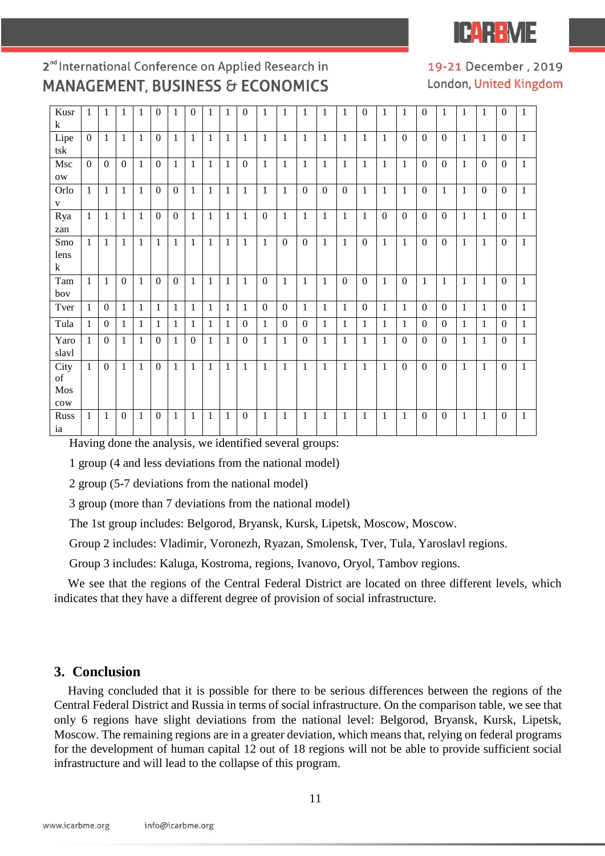IFAR R

### 2<sup>nd</sup> International Conference on Applied Research in **MANAGEMENT, BUSINESS & ECONOMICS**

19-21 December, 2019 London, United Kingdom

| Kusr        | $\mathbf{1}$   | 1              | 1            | 1            | $\overline{0}$   | 1              | $\overline{0}$ | 1            | 1            | $\overline{0}$ | $\mathbf{1}$     | 1              | $\mathbf{1}$     | $\mathbf{1}$     | 1              | $\overline{0}$   | 1            | $\mathbf{1}$     | $\overline{0}$   | $\mathbf{1}$     | 1            | $\mathbf{1}$     | $\mathbf{0}$     | 1            |
|-------------|----------------|----------------|--------------|--------------|------------------|----------------|----------------|--------------|--------------|----------------|------------------|----------------|------------------|------------------|----------------|------------------|--------------|------------------|------------------|------------------|--------------|------------------|------------------|--------------|
| k           |                |                |              |              |                  |                |                |              |              |                |                  |                |                  |                  |                |                  |              |                  |                  |                  |              |                  |                  |              |
| Lipe        | $\mathbf{0}$   | $\mathbf{1}$   | $\mathbf{1}$ | $\mathbf{1}$ | $\mathbf{0}$     | 1              | $\mathbf{1}$   | $\mathbf{1}$ | $\mathbf{1}$ | $\mathbf{1}$   | $\mathbf{1}$     | $\mathbf{1}$   | $\mathbf{1}$     | $\mathbf{1}$     | $\mathbf{1}$   | $\mathbf{1}$     | $\mathbf{1}$ | $\boldsymbol{0}$ | $\Omega$         | $\mathbf{0}$     | $\mathbf{1}$ | $\,1\,$          | $\boldsymbol{0}$ | $\mathbf{1}$ |
| tsk         |                |                |              |              |                  |                |                |              |              |                |                  |                |                  |                  |                |                  |              |                  |                  |                  |              |                  |                  |              |
| Msc         | $\overline{0}$ | $\overline{0}$ | $\mathbf{0}$ | $\mathbf{1}$ | $\boldsymbol{0}$ | $\mathbf{1}$   | 1              | $\mathbf{1}$ | 1            | $\mathbf{0}$   | $\mathbf{1}$     | 1              | $\mathbf{1}$     | $\mathbf{1}$     | $\mathbf{1}$   | $\mathbf{1}$     | 1            | $\mathbf{1}$     | $\overline{0}$   | $\mathbf{0}$     | 1            | $\boldsymbol{0}$ | $\boldsymbol{0}$ | $\mathbf{1}$ |
| <b>OW</b>   |                |                |              |              |                  |                |                |              |              |                |                  |                |                  |                  |                |                  |              |                  |                  |                  |              |                  |                  |              |
| Orlo        | $\mathbf{1}$   | $\mathbf{1}$   | $\mathbf{1}$ | $\mathbf{1}$ | $\mathbf{0}$     | $\overline{0}$ | $\mathbf{1}$   | $\mathbf{1}$ | $\mathbf{1}$ | $\mathbf{1}$   | $\mathbf{1}$     | $\mathbf{1}$   | $\boldsymbol{0}$ | $\boldsymbol{0}$ | $\overline{0}$ | $\mathbf{1}$     | $\mathbf{1}$ | $\mathbf{1}$     | $\boldsymbol{0}$ | $\mathbf{1}$     | 1            | $\boldsymbol{0}$ | $\boldsymbol{0}$ | $\mathbf{1}$ |
| $\mathbf V$ |                |                |              |              |                  |                |                |              |              |                |                  |                |                  |                  |                |                  |              |                  |                  |                  |              |                  |                  |              |
| Rya         | $\mathbf{1}$   | $\mathbf{1}$   | 1            | $\mathbf{1}$ | $\boldsymbol{0}$ | $\Omega$       | $\mathbf{1}$   | $\mathbf{1}$ | 1            | $\mathbf{1}$   | $\boldsymbol{0}$ | $\mathbf{1}$   | $\mathbf{1}$     | $\mathbf{1}$     | $\mathbf{1}$   | $\mathbf{1}$     | $\Omega$     | $\mathbf{0}$     | $\Omega$         | $\boldsymbol{0}$ | 1            | 1                | $\Omega$         | $\mathbf{1}$ |
| zan         |                |                |              |              |                  |                |                |              |              |                |                  |                |                  |                  |                |                  |              |                  |                  |                  |              |                  |                  |              |
| Smo         | $\mathbf{1}$   | $\mathbf{1}$   | 1            | $\mathbf{1}$ | $\mathbf{1}$     | $\mathbf{1}$   | $\mathbf{1}$   | $\mathbf{1}$ | $\mathbf{1}$ | $\mathbf{1}$   | $\mathbf{1}$     | $\mathbf{0}$   | $\boldsymbol{0}$ | $\mathbf{1}$     | $\mathbf{1}$   | $\mathbf{0}$     | $\mathbf{1}$ | $\mathbf{1}$     | $\boldsymbol{0}$ | $\boldsymbol{0}$ | $\mathbf{1}$ | $\mathbf{1}$     | $\boldsymbol{0}$ | $\mathbf{1}$ |
| lens        |                |                |              |              |                  |                |                |              |              |                |                  |                |                  |                  |                |                  |              |                  |                  |                  |              |                  |                  |              |
| k           |                |                |              |              |                  |                |                |              |              |                |                  |                |                  |                  |                |                  |              |                  |                  |                  |              |                  |                  |              |
| Tam         | $\mathbf{1}$   | $\mathbf{1}$   | $\mathbf{0}$ | $\mathbf{1}$ | $\boldsymbol{0}$ | $\overline{0}$ | $\mathbf{1}$   | 1            | 1            | 1              | $\boldsymbol{0}$ | 1              | $\mathbf{1}$     | $\mathbf{1}$     | $\Omega$       | $\boldsymbol{0}$ | $\mathbf{1}$ | $\mathbf{0}$     | 1                | $\mathbf{1}$     | 1            | $\mathbf{1}$     | $\boldsymbol{0}$ | $\mathbf{1}$ |
| boy         |                |                |              |              |                  |                |                |              |              |                |                  |                |                  |                  |                |                  |              |                  |                  |                  |              |                  |                  |              |
| Tver        | $\mathbf{1}$   | $\overline{0}$ | $\mathbf{1}$ | $\mathbf{1}$ | $\mathbf{1}$     | $\mathbf{1}$   | $\mathbf{1}$   | $\mathbf{1}$ | $\mathbf{1}$ | $\mathbf{1}$   | $\overline{0}$   | $\overline{0}$ | $\mathbf{1}$     | $\mathbf{1}$     | $\mathbf{1}$   | $\boldsymbol{0}$ | $\mathbf{1}$ | $\mathbf{1}$     | $\overline{0}$   | $\mathbf{0}$     | $\mathbf{1}$ | $\mathbf{1}$     | $\Omega$         | $\mathbf{1}$ |
| Tula        | 1              | $\theta$       | $\mathbf{1}$ | 1            | $\mathbf{1}$     | 1              | 1              | $\mathbf{1}$ | $\mathbf{1}$ | $\Omega$       | $\mathbf{1}$     | $\theta$       | $\Omega$         | $\mathbf{1}$     | $\mathbf{1}$   | $\mathbf{1}$     | 1            | $\mathbf{1}$     | $\Omega$         | $\theta$         | $\mathbf{1}$ | $\mathbf{1}$     | $\Omega$         | $\mathbf{1}$ |
| Yaro        | $\mathbf{1}$   | $\Omega$       | 1            | $\mathbf{1}$ | $\mathbf{0}$     | 1              | $\theta$       | 1            | 1            | $\mathbf{0}$   | $\mathbf{1}$     | $\mathbf{1}$   | $\boldsymbol{0}$ | $\mathbf{1}$     | $\mathbf{1}$   | 1                | 1            | $\mathbf{0}$     | $\Omega$         | $\boldsymbol{0}$ | 1            | $\mathbf{1}$     | $\Omega$         | $\mathbf{1}$ |
| slavl       |                |                |              |              |                  |                |                |              |              |                |                  |                |                  |                  |                |                  |              |                  |                  |                  |              |                  |                  |              |
| City        | $\mathbf{1}$   | $\overline{0}$ | 1            | $\mathbf{1}$ | $\boldsymbol{0}$ | $\mathbf{1}$   | 1              | $\mathbf{1}$ | $\mathbf{1}$ | $\mathbf{1}$   | $\mathbf{1}$     | $\mathbf{1}$   | $\mathbf{1}$     | $\mathbf{1}$     | $\mathbf{1}$   | $\mathbf{1}$     | $\mathbf{1}$ | $\mathbf{0}$     | $\Omega$         | $\boldsymbol{0}$ | 1            | $\mathbf{1}$     | $\Omega$         | $\mathbf{1}$ |
| of          |                |                |              |              |                  |                |                |              |              |                |                  |                |                  |                  |                |                  |              |                  |                  |                  |              |                  |                  |              |
| Mos         |                |                |              |              |                  |                |                |              |              |                |                  |                |                  |                  |                |                  |              |                  |                  |                  |              |                  |                  |              |
| cow         |                |                |              |              |                  |                |                |              |              |                |                  |                |                  |                  |                |                  |              |                  |                  |                  |              |                  |                  |              |
| Russ        | 1              | 1              | $\Omega$     | 1            | $\mathbf{0}$     | 1              | 1              | 1            | 1            | $\mathbf{0}$   | $\mathbf{1}$     | 1              | 1                | 1                | -1             | 1                | 1            | 1                | $\Omega$         | $\Omega$         | 1            | 1                | $\Omega$         | 1            |
| ia          |                |                |              |              |                  |                |                |              |              |                |                  |                |                  |                  |                |                  |              |                  |                  |                  |              |                  |                  |              |

Having done the analysis, we identified several groups:

1 group (4 and less deviations from the national model)

2 group (5-7 deviations from the national model)

3 group (more than 7 deviations from the national model)

The 1st group includes: Belgorod, Bryansk, Kursk, Lipetsk, Moscow, Moscow.

Group 2 includes: Vladimir, Voronezh, Ryazan, Smolensk, Tver, Tula, Yaroslavl regions.

Group 3 includes: Kaluga, Kostroma, regions, Ivanovo, Oryol, Tambov regions.

We see that the regions of the Central Federal District are located on three different levels, which indicates that they have a different degree of provision of social infrastructure.

#### **3. Conclusion**

Having concluded that it is possible for there to be serious differences between the regions of the Central Federal District and Russia in terms of social infrastructure. On the comparison table, we see that only 6 regions have slight deviations from the national level: Belgorod, Bryansk, Kursk, Lipetsk, Moscow. The remaining regions are in a greater deviation, which means that, relying on federal programs for the development of human capital 12 out of 18 regions will not be able to provide sufficient social infrastructure and will lead to the collapse of this program.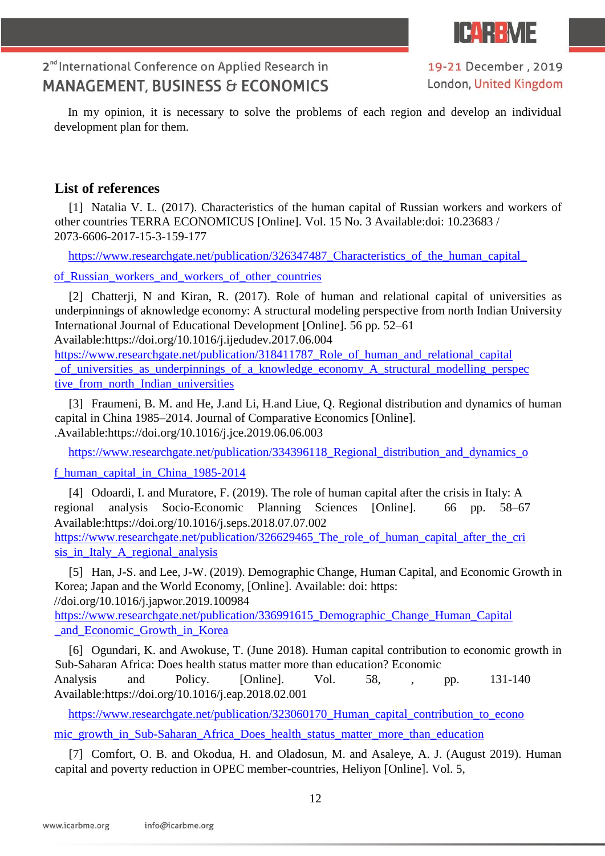

19-21 December, 2019 London, United Kingdom

In my opinion, it is necessary to solve the problems of each region and develop an individual development plan for them.

### **List of references**

[1] Natalia V. L. (2017). Characteristics of the human capital of Russian workers and workers of other countries TERRA ECONOMICUS [Online]. Vol. 15 No. 3 Available:doi: 10.23683 / 2073-6606-2017-15-3-159-177

https://www.researchgate.net/publication/326347487\_Characteristics\_of\_the\_human\_capital

[of\\_Russian\\_workers\\_and\\_workers\\_of\\_other\\_countries](https://www.researchgate.net/publication/326347487_Characteristics_of_the_human_capital_of_Russian_workers_and_workers_of_other_countries)

[2] Chatterji, N and Kiran, R. (2017). Role of human and relational capital of universities as underpinnings of aknowledge economy: A structural modeling perspective from north Indian University International Journal of Educational Development [Online]. 56 pp. 52–61 Available:https://doi.org/10.1016/j.ijedudev.2017.06.004

https://www.researchgate.net/publication/318411787 Role of human and relational capital of universities as underpinnings of a knowledge economy A structural modelling perspec tive from north Indian universities

[3] Fraumeni, B. M. and He, J.and Li, H.and Liue, Q. Regional distribution and dynamics of human capital in China 1985–2014. Journal of Comparative Economics [Online]. .Available:https://doi.org/10.1016/j.jce.2019.06.06.003

https://www.researchgate.net/publication/334396118 Regional distribution and dynamics o

#### [f\\_human\\_capital\\_in\\_China\\_1985-2014](https://www.researchgate.net/publication/334396118_Regional_distribution_and_dynamics_of_human_capital_in_China_1985-2014)

[4] Odoardi, I. and Muratore, F. (2019). The role of human capital after the crisis in Italy: A regional analysis Socio-Economic Planning Sciences [Online]. 66 pp. 58–67 Available:https://doi.org/10.1016/j.seps.2018.07.07.002

https://www.researchgate.net/publication/326629465 The role of human capital after the cri sis in Italy A regional analysis

[5] Han, J-S. and Lee, J-W. (2019). Demographic Change, Human Capital, and Economic Growth in Korea; Japan and the World Economy, [Online]. Available: doi: https: //doi.org/10.1016/j.japwor.2019.100984

[https://www.researchgate.net/publication/336991615\\_Demographic\\_Change\\_Human\\_Capital](https://www.researchgate.net/publication/336991615_Demographic_Change_Human_Capital_and_Economic_Growth_in_Korea)  and Economic Growth in Korea

[6] Ogundari, K. and Awokuse, T. (June 2018). Human capital contribution to economic growth in Sub-Saharan Africa: Does health status matter more than education? Economic Analysis and Policy. [Online]. Vol. 58, , pp. 131-140 Available:https://doi.org/10.1016/j.eap.2018.02.001

https://www.researchgate.net/publication/323060170 Human capital contribution to econo

[mic\\_growth\\_in\\_Sub-Saharan\\_Africa\\_Does\\_health\\_status\\_matter\\_more\\_than\\_education](https://www.researchgate.net/publication/323060170_Human_capital_contribution_to_economic_growth_in_Sub-Saharan_Africa_Does_health_status_matter_more_than_education)

[7] Comfort, O. B. and Okodua, H. and Oladosun, M. and Asaleye, A. J. (August 2019). Human capital and poverty reduction in OPEC member-countries, Heliyon [Online]. Vol. 5,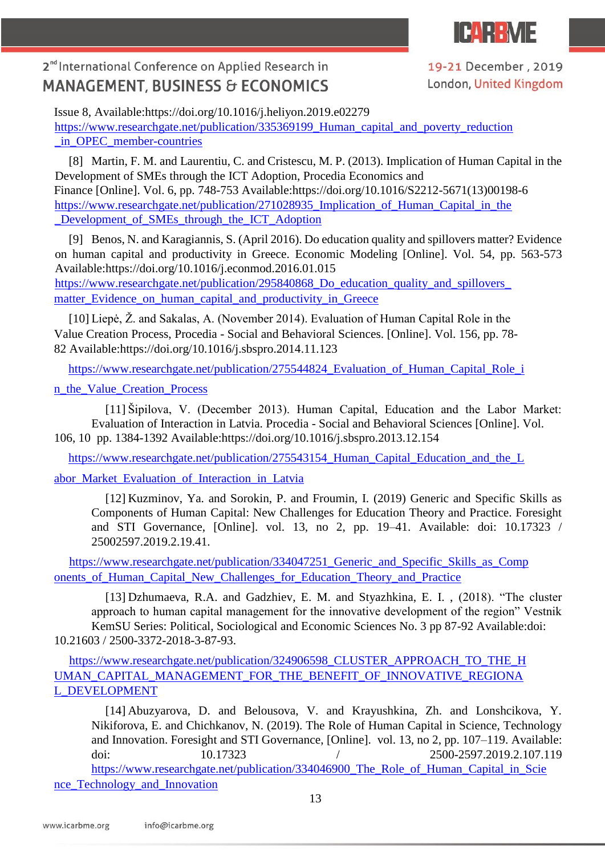

19-21 December, 2019 London, United Kingdom

Issue 8, Available:https://doi.org/10.1016/j.heliyon.2019.e02279 [https://www.researchgate.net/publication/335369199\\_Human\\_capital\\_and\\_poverty\\_reduction](https://www.researchgate.net/publication/335369199_Human_capital_and_poverty_reduction_in_OPEC_member-countries)  in OPEC member-countries

[8] Martin, F. M. and Laurentiu, C. and Cristescu, M. P. (2013). Implication of Human Capital in the Development of SMEs through the ICT Adoption, Procedia Economics and Finance [Online]. Vol. 6, pp. 748-753 Available:https://doi.org/10.1016/S2212-5671(13)00198-6 https://www.researchgate.net/publication/271028935\_Implication\_of\_Human\_Capital\_in\_the Development of SMEs through the ICT Adoption

[9] Benos, N. and Karagiannis, S. (April 2016). Do education quality and spillovers matter? Evidence on human capital and productivity in Greece. Economic Modeling [Online]. Vol. 54, pp. 563-573 Available:https://doi.org/10.1016/j.econmod.2016.01.015 [https://www.researchgate.net/publication/295840868\\_Do\\_education\\_quality\\_and\\_spillovers\\_](https://www.researchgate.net/publication/295840868_Do_education_quality_and_spillovers_matter_Evidence_on_human_capital_and_productivity_in_Greece) matter Evidence on human capital and productivity in Greece

[10] Liepė, Ž. and Sakalas, A. (November 2014). Evaluation of Human Capital Role in the Value Creation Process, Procedia - Social and Behavioral Sciences. [Online]. Vol. 156, pp. 78- 82 Available:https://doi.org/10.1016/j.sbspro.2014.11.123

[https://www.researchgate.net/publication/275544824\\_Evaluation\\_of\\_Human\\_Capital\\_Role\\_i](https://www.researchgate.net/publication/275544824_Evaluation_of_Human_Capital_Role_in_the_Value_Creation_Process)

[n\\_the\\_Value\\_Creation\\_Process](https://www.researchgate.net/publication/275544824_Evaluation_of_Human_Capital_Role_in_the_Value_Creation_Process)

[11] Šipilova, V. (December 2013). Human Capital, Education and the Labor Market: Evaluation of Interaction in Latvia. Procedia - Social and Behavioral Sciences [Online]. Vol. 106, 10 pp. 1384-1392 Available:https://doi.org/10.1016/j.sbspro.2013.12.154

https://www.researchgate.net/publication/275543154 Human Capital Education and the L

abor Market Evaluation of Interaction in Latvia

[12] Kuzminov, Ya. and Sorokin, P. and Froumin, I. (2019) Generic and Specific Skills as Components of Human Capital: New Challenges for Education Theory and Practice. Foresight and STI Governance, [Online]. vol. 13, no 2, pp. 19–41. Available: doi: 10.17323 / 25002597.2019.2.19.41.

[https://www.researchgate.net/publication/334047251\\_Generic\\_and\\_Specific\\_Skills\\_as\\_Comp](https://www.researchgate.net/publication/334047251_Generic_and_Specific_Skills_as_Components_of_Human_Capital_New_Challenges_for_Education_Theory_and_Practice) onents of Human Capital New Challenges for Education Theory and Practice

[13] Dzhumaeva, R.A. and Gadzhiev, E. M. and Styazhkina, E. I., (2018). "The cluster approach to human capital management for the innovative development of the region" Vestnik KemSU Series: Political, Sociological and Economic Sciences No. 3 pp 87-92 Available:doi: 10.21603 / 2500-3372-2018-3-87-93.

[https://www.researchgate.net/publication/324906598\\_CLUSTER\\_APPROACH\\_TO\\_THE\\_H](https://www.researchgate.net/publication/324906598_CLUSTER_APPROACH_TO_THE_HUMAN_CAPITAL_MANAGEMENT_FOR_THE_BENEFIT_OF_INNOVATIVE_REGIONAL_DEVELOPMENT) [UMAN\\_CAPITAL\\_MANAGEMENT\\_FOR\\_THE\\_BENEFIT\\_OF\\_INNOVATIVE\\_REGIONA](https://www.researchgate.net/publication/324906598_CLUSTER_APPROACH_TO_THE_HUMAN_CAPITAL_MANAGEMENT_FOR_THE_BENEFIT_OF_INNOVATIVE_REGIONAL_DEVELOPMENT) [L\\_DEVELOPMENT](https://www.researchgate.net/publication/324906598_CLUSTER_APPROACH_TO_THE_HUMAN_CAPITAL_MANAGEMENT_FOR_THE_BENEFIT_OF_INNOVATIVE_REGIONAL_DEVELOPMENT)

[14] Abuzyarova, D. and Belousova, V. and Krayushkina, Zh. and Lonshcikova, Y. Nikiforova, E. and Chichkanov, N. (2019). The Role of Human Capital in Science, Technology and Innovation. Foresight and STI Governance, [Online]. vol. 13, no 2, pp. 107–119. Available: doi: 10.17323 / 2500-2597.2019.2.107.119 [https://www.researchgate.net/publication/334046900\\_The\\_Role\\_of\\_Human\\_Capital\\_in\\_Scie](https://www.researchgate.net/publication/334046900_The_Role_of_Human_Capital_in_Science_Technology_and_Innovation) [nce\\_Technology\\_and\\_Innovation](https://www.researchgate.net/publication/334046900_The_Role_of_Human_Capital_in_Science_Technology_and_Innovation)